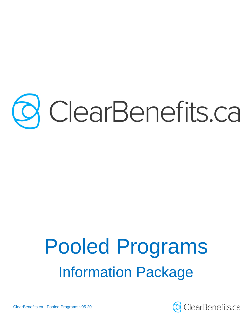# ClearBenefits.ca

# Pooled Programs Information Package

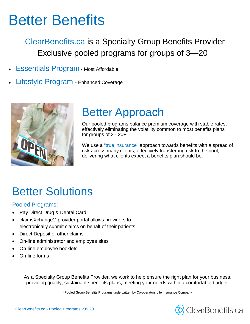# Better Benefits

ClearBenefits.ca is a Specialty Group Benefits Provider Exclusive pooled programs for groups of 3—20+

- Essentials Program Most Affordable
- Lifestyle Program Enhanced Coverage



# Better Approach

Our pooled programs balance premium coverage with stable rates, effectively eliminating the volatility common to most benefits plans for groups of 3 - 20+.

We use a "true insurance" approach towards benefits with a spread of risk across many clients, effectively transferring risk to the pool, delivering what clients expect a benefits plan should be.

# Better Solutions

#### Pooled Programs:

- Pay Direct Drug & Dental Card
- claimsXchange® provider portal allows providers to electronically submit claims on behalf of their patients
- Direct Deposit of other claims
- On-line administrator and employee sites
- On-line employee booklets
- On-line forms

As a Specialty Group Benefits Provider, we work to help ensure the right plan for your business, providing quality, sustainable benefits plans, meeting your needs within a comfortable budget.

\*Pooled Group Benefits Programs underwritten by Co-operators Life Insurance Company

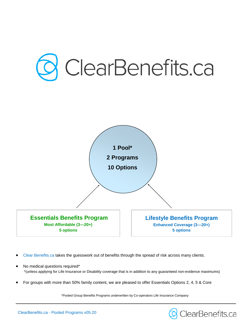

- Clear Benefits.ca takes the guesswork out of benefits through the spread of risk across many clients.
- No medical questions required\* \*(unless applying for Life Insurance or Disability coverage that is in addition to any guaranteed non-evidence maximums)
- For groups with more than 50% family content, we are pleased to offer Essentials Options 2, 4, 5 & Core

\*Pooled Group Benefits Programs underwritten by Co-operators Life Insurance Company

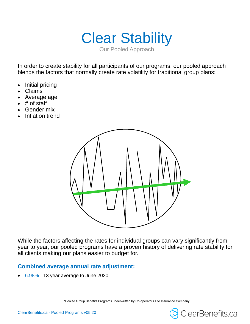Clear Stability Our Pooled Approach

In order to create stability for all participants of our programs, our pooled approach blends the factors that normally create rate volatility for traditional group plans:

- Initial pricing
- Claims
- Average age
- $\bullet$  # of staff
- Gender mix
- Inflation trend



While the factors affecting the rates for individual groups can vary significantly from year to year, our pooled programs have a proven history of delivering rate stability for all clients making our plans easier to budget for.

#### **Combined average annual rate adjustment:**

6.98% - 13 year average to June 2020

\*Pooled Group Benefits Programs underwritten by Co-operators Life Insurance Company



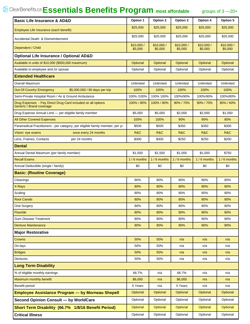## **Essentials Benefits Program most affordable** groups of 3 —20+

| <b>Basic Life Insurance &amp; AD&amp;D</b>                                               | Option 1             | Option 2             | Option 3             | Option 4             | Option 5             |
|------------------------------------------------------------------------------------------|----------------------|----------------------|----------------------|----------------------|----------------------|
| Employee Life Insurance (each benefit)                                                   | \$25,000             | \$25,000             | \$25,000             | \$25,000             | \$25,000             |
| Accidental Death & Dismemberment                                                         | \$25,000             | \$25,000             | \$25,000             | \$25,000             | \$25,000             |
| Dependent / Child                                                                        | \$10,000/<br>\$5,000 | \$10,000/<br>\$5,000 | \$10,000/<br>\$5,000 | \$10,000/<br>\$5,000 | \$10,000/<br>\$5,000 |
| <b>Optional Life Insurance / Optional AD&amp;D</b>                                       |                      |                      |                      |                      |                      |
| Available in units of \$10,000 (\$500,000 maximum)                                       | Optional             | Optional             | Optional             | Optional             | Optional             |
| Available to employee and /or spouse                                                     | Optional             | Optional             | Optional             | Optional             | Optional             |
| <b>Extended Healthcare</b>                                                               |                      |                      |                      |                      |                      |
| <b>Overall Maximum</b>                                                                   | Unlimited            | Unlimited            | Unlimited            | Unlimited            | Unlimited            |
| <b>Out-Of-Country Emergency</b><br>\$5,000,000 / 90 days per trip                        | 100%                 | 100%                 | 100%                 | 100%                 | 100%                 |
| Semi-Private Hospital Room / Air & Ground Ambulance                                      | 100% /100%           | 100% 100%            | 100%/90%             | 100%/90%             | 100%/80%             |
| Drug Expenses - Pay Direct Drug Card included on all options<br>Generic / Brand coverage | 100% / 80%           | 100% / 80%           | 90% / 70%            | 90% / 70%            | 80% / 60%            |
| Drug Expense Annual Limit - per eligible family member                                   | \$5,000              | \$5.000              | \$2.000              | \$2,000              | \$1,000              |
| <b>All Other Covered Expenses</b>                                                        | 100%                 | 100%                 | 90%                  | 90%                  | 80%                  |
| Paramedical Practitioners - per category, per eligible family member, per yr.            | \$500                | \$500                | \$350                | \$350                | \$300                |
| once every 24 months<br>Vision: eye exams                                                | R&C                  | R&C                  | R&C                  | R&C                  | R&C                  |
| Lens, Frames, Contacts<br>per 24 months                                                  | \$300                | \$300                | \$250                | \$250                | \$200                |
| Dental                                                                                   |                      |                      |                      |                      |                      |
| Annual Dental Maximum (per family member)                                                | \$1,500              | \$1,500              | \$1,000              | \$1,000              | \$750                |
| <b>Recall Exams</b>                                                                      | $1/6$ months         | 1/6 months           | $1/6$ months         | $1/6$ months         | 1/6 months           |
| Annual Deductible (single / family)                                                      | \$0                  | \$0                  | \$0                  | \$0                  | \$0                  |
| <b>Basic: (Routine Coverage)</b>                                                         |                      |                      |                      |                      |                      |
| Cleanings                                                                                | 80%                  | 80%                  | 80%                  | 80%                  | 80%                  |
| X-Rays                                                                                   | 80%                  | 80%                  | 80%                  | 80%                  | 80%                  |
| Scaling                                                                                  | 80%                  | 80%                  | 80%                  | 80%                  | 80%                  |
| <b>Root Canals</b>                                                                       | 80%                  | 80%                  | 80%                  | 80%                  | 80%                  |
| <b>Oral Surgery</b>                                                                      | 80%                  | 80%                  | 80%                  | 80%                  | 80%                  |
| Fluoride                                                                                 | 80%                  | 80%                  | 80%                  | 80%                  | 80%                  |
| <b>Gum Disease Treatment</b>                                                             | 80%                  | 80%                  | 80%                  | 80%                  | 80%                  |
| <b>Denture Maintenance</b>                                                               | 80%                  | 80%                  | 80%                  | 80%                  | 80%                  |
| <b>Major Restorative</b>                                                                 |                      |                      |                      |                      |                      |
| <b>Crowns</b>                                                                            | 50%                  | 50%                  | n/a                  | n/a                  | n/a                  |
| On-lays                                                                                  | 50%                  | 50%                  | n/a                  | n/a                  | n/a                  |
| <b>Bridges</b>                                                                           | 50%                  | 50%                  | n/a                  | n/a                  | n/a                  |
| Dentures                                                                                 | 50%                  | 50%                  | n/a                  | n/a                  | n/a                  |
| <b>Long Term Disability</b>                                                              |                      |                      |                      |                      |                      |
| % of eligible monthly earnings                                                           | 66.7%                | n/a                  | 66.7%                | n/a                  | n/a                  |
| Maximum monthly benefit                                                                  | \$6,000              | n/a                  | \$6,000              | n/a                  | n/a                  |
| Benefit period                                                                           | 5 Years              | n/a                  | 5 Years              | n/a                  | n/a                  |
| <b>Employee Assistance Program - by Morneau Shepell</b>                                  | Optional             | Optional             | Optional             | Optional             | Optional             |
| Second Opinion Consult - by WorldCare                                                    | Optional             | Optional             | Optional             | Optional             | Optional             |
| Short Term Disability (66.7% 1/8/16 Benefit Period)                                      | Optional             | Optional             | Optional             | Optional             | Optional             |
| <b>Critical Illness</b>                                                                  | Optional             | Optional             | Optional             | Optional             | Optional             |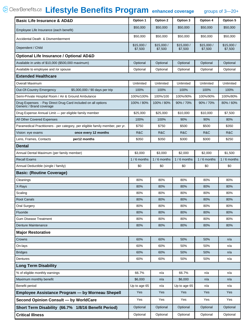# **Lifestyle Benefits Program enhanced coverage** groups of 3—20+

| <b>Basic Life Insurance &amp; AD&amp;D</b>                                               | Option 1             | Option 2             | Option 3             | Option 4             | Option 5             |
|------------------------------------------------------------------------------------------|----------------------|----------------------|----------------------|----------------------|----------------------|
| Employee Life Insurance (each benefit)                                                   | \$50,000             | \$50,000             | \$50,000             | \$50,000             | \$50,000             |
| Accidental Death & Dismemberment                                                         | \$50,000             | \$50,000             | \$50,000             | \$50,000             | \$50,000             |
| Dependent / Child                                                                        | \$15,000/<br>\$7,500 | \$15,000/<br>\$7,500 | \$15,000/<br>\$7,500 | \$15,000/<br>\$7,500 | \$15,000/<br>\$7,500 |
| <b>Optional Life Insurance / Optional AD&amp;D</b>                                       |                      |                      |                      |                      |                      |
| Available in units of \$10,000 (\$500,000 maximum)                                       | Optional             | Optional             | Optional             | Optional             | Optional             |
| Available to employee and /or spouse                                                     | Optional             | Optional             | Optional             | Optional             | Optional             |
| <b>Extended Healthcare</b>                                                               |                      |                      |                      |                      |                      |
| Overall Maximum                                                                          | Unlimited            | Unlimited            | Unlimited            | Unlimited            | Unlimited            |
| Out-Of-Country Emergency<br>\$5,000,000 / 90 days per trip                               | 100%                 | 100%                 | 100%                 | 100%                 | 100%                 |
| Semi-Private Hospital Room / Air & Ground Ambulance                                      | 100%/100%            | 100%/100             | 100%/90%             | 100%/90%             | 100%/80%             |
| Drug Expenses - Pay Direct Drug Card included on all options<br>Generic / Brand coverage | 100% / 80%           | 100% / 80%           | 90% / 70%            | 90% / 70%            | 80% / 60%            |
| Drug Expense Annual Limit - per eligible family member                                   | \$25,000             | \$25,000             | \$10,000             | \$10,000             | \$7,500              |
| All Other Covered Expenses                                                               | 100%                 | 100%                 | 90%                  | 90%                  | 80%                  |
| Paramedical Practitioners - per category, per eligible family member, per yr.            | \$750                | \$750                | \$500                | \$500                | \$350                |
| once every 12 months<br>Vision: eye exams                                                | R&C                  | R&C                  | R&C                  | R&C                  | R&C                  |
| Lens, Frames, Contacts<br>per12 months                                                   | \$350                | \$350                | \$300                | \$300                | \$250                |
| <b>Dental</b>                                                                            |                      |                      |                      |                      |                      |
| Annual Dental Maximum (per family member)                                                | \$3,000              | \$3,000              | \$2,000              | \$2,000              | \$1,500              |
| <b>Recall Exams</b>                                                                      | 1/6 months           | 1/6 months           | 1/6 months           | $1/6$ months         | $1/6$ months         |
| Annual Deductible (single / family)                                                      | \$0                  | \$0                  | \$0                  | \$0                  | \$0                  |
| <b>Basic: (Routine Coverage)</b>                                                         |                      |                      |                      |                      |                      |
| Cleanings                                                                                | 80%                  | 80%                  | 80%                  | 80%                  | 80%                  |
| X-Rays                                                                                   | 80%                  | 80%                  | 80%                  | 80%                  | 80%                  |
| Scaling                                                                                  | 80%                  | 80%                  | 80%                  | 80%                  | 80%                  |
| <b>Root Canals</b>                                                                       | 80%                  | 80%                  | 80%                  | 80%                  | 80%                  |
| <b>Oral Surgery</b>                                                                      | 80%                  | 80%                  | 80%                  | 80%                  | 80%                  |
| Fluoride                                                                                 | 80%                  | 80%                  | 80%                  | 80%                  | 80%                  |
| <b>Gum Disease Treatment</b>                                                             | 80%                  | 80%                  | 80%                  | 80%                  | 80%                  |
| Denture Maintenance                                                                      | 80%                  | 80%                  | 80%                  | 80%                  | 80%                  |
| <b>Major Restorative</b>                                                                 |                      |                      |                      |                      |                      |
| Crowns                                                                                   | 60%                  | 60%                  | 50%                  | 50%                  | n/a                  |
| On-lays                                                                                  | 60%                  | 60%                  | 50%                  | 50%                  | n/a                  |
| <b>Bridges</b>                                                                           | 60%                  | 60%                  | 50%                  | 50%                  | n/a                  |
| Dentures                                                                                 | 60%                  | 60%                  | 50%                  | 50%                  | n/a                  |
| <b>Long Term Disability</b>                                                              |                      |                      |                      |                      |                      |
| % of eligible monthly earnings                                                           | 66.7%                | n/a                  | 66.7%                | n/a                  | n/a                  |
| Maximum monthly benefit                                                                  | \$6,000              | n/a                  | \$6,000              | n/a                  | n/a                  |
| Benefit period                                                                           | Up to age 65         | n/a                  | Up to age 65         | n/a                  | n/a                  |
| <b>Employee Assistance Program - by Morneau Shepell</b>                                  | Yes                  | Yes                  | Yes                  | Yes                  | Yes                  |
| <b>Second Opinion Consult - by WorldCare</b>                                             | Yes                  | Yes                  | Yes                  | Yes                  | Yes                  |
| Short Term Disability (66.7% 1/8/16 Benefit Period)                                      | Optional             | Optional             | Optional             | Optional             | Optional             |
| <b>Critical Illness</b>                                                                  | Optional             | Optional             | Optional             | Optional             | Optional             |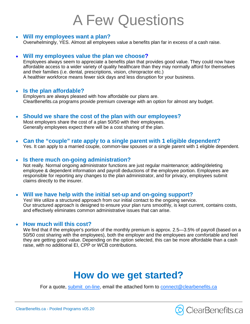# A Few Questions

#### **Will my employees want a plan?**

Overwhelmingly, YES. Almost all employees value a benefits plan far in excess of a cash raise.

#### **Will my employees value the plan we choose?**

Employees always seem to appreciate a benefits plan that provides good value. They could now have affordable access to a wider variety of quality healthcare than they may normally afford for themselves and their families (i.e. dental, prescriptions, vision, chiropractor etc.) A healthier workforce means fewer sick days and less disruption for your business.

#### **Is the plan affordable?**

Employers are always pleased with how affordable our plans are. ClearBenefits.ca programs provide premium coverage with an option for almost any budget.

- **Should we share the cost of the plan with our employees?** Most employers share the cost of a plan 50/50 with their employees. Generally employees expect there will be a cost sharing of the plan.
- **Can the "couple" rate apply to a single parent with 1 eligible dependent?** Yes. It can apply to a married couple, common-law spouses or a single parent with 1 eligible dependent.

#### **Is there much on-going administration?**

Not really. Normal ongoing administrator functions are just regular maintenance; adding/deleting employee & dependent information and payroll deductions of the employee portion. Employees are responsible for reporting any changes to the plan administrator, and for privacy, employees submit claims directly to the insurer.

#### **Will we have help with the initial set-up and on-going support?**

Yes! We utilize a structured approach from our initial contact to the ongoing service. Our structured approach is designed to ensure your plan runs smoothly, is kept current, contains costs, and effectively eliminates common administrative issues that can arise.

#### **How much will this cost?**

We find that if the employer's portion of the monthly premium is approx. 2.5—3.5% of payroll (based on a 50/50 cost sharing with the employees), both the employer and the employees are comfortable and feel they are getting good value. Depending on the option selected, this can be more affordable than a cash raise, with no additional EI, CPP or WCB contributions.

# **How do we get started?**

For a quote, submit\_on-line, email the attached form to connect@clearbenefits.ca

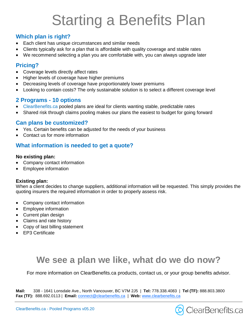# Starting a Benefits Plan

#### **Which plan is right?**

- Each client has unique circumstances and similar needs
- Clients typically ask for a plan that is affordable with quality coverage and stable rates
- We recommend selecting a plan you are comfortable with, you can always upgrade later

#### **Pricing?**

- Coverage levels directly affect rates
- Higher levels of coverage have higher premiums
- Decreasing levels of coverage have proportionately lower premiums
- Looking to contain costs? The only sustainable solution is to select a different coverage level

#### **2 Programs - 10 options**

- ClearBenefits.ca pooled plans are ideal for clients wanting stable, predictable rates
- Shared risk through claims pooling makes our plans the easiest to budget for going forward

#### **Can plans be customized?**

- Yes. Certain benefits can be adjusted for the needs of your business
- Contact us for more information

#### **What information is needed to get a quote?**

#### **No existing plan:**

- Company contact information
- Employee information

#### **Existing plan:**

When a client decides to change suppliers, additional information will be requested. This simply provides the quoting insurers the required information in order to properly assess risk.

- Company contact information
- Employee information
- Current plan design
- Claims and rate history
- Copy of last billing statement
- EP3 Certificate

## **We see a plan we like, what do we do now?**

For more information on ClearBenefits.ca products, contact us, or your group benefits advisor.

**Mail:** 338 - 1641 Lonsdale Ave., North Vancouver, BC V7M 2J5 | **Tel:** 778.338.4083 | **Tel (TF):** 888.803.3800 **Fax (TF):** 888.692.0113 | **Email:** connect@clearbenefits.ca | **Web:** www.clearbenefits.ca